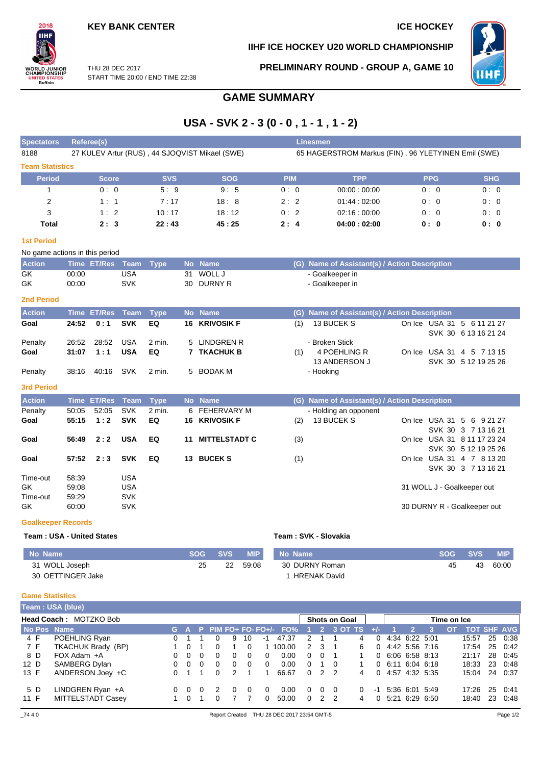## **KEY BANK CENTER ICE HOCKEY**

# $2018$ IІHI **ORLD JUNIOR<br>HAMPIONSHIP<br>UNITED STATES<br>Buffalo**

**IIHF ICE HOCKEY U20 WORLD CHAMPIONSHIP**



THU 28 DEC 2017 START TIME 20:00 / END TIME 22:38 **PRELIMINARY ROUND - GROUP A, GAME 10**

# **GAME SUMMARY**

# **USA - SVK 2 - 3 (0 - 0 , 1 - 1 , 1 - 2)**

| <b>Spectators</b>      | Referee(s)                                     |            |            | <b>Linesmen</b> |                                                     |            |            |
|------------------------|------------------------------------------------|------------|------------|-----------------|-----------------------------------------------------|------------|------------|
| 8188                   | 27 KULEV Artur (RUS), 44 SJOQVIST Mikael (SWE) |            |            |                 | 65 HAGERSTROM Markus (FIN), 96 YLETYINEN Emil (SWE) |            |            |
| <b>Team Statistics</b> |                                                |            |            |                 |                                                     |            |            |
| <b>Period</b>          | <b>Score</b>                                   | <b>SVS</b> | <b>SOG</b> | <b>PIM</b>      | <b>TPP</b>                                          | <b>PPG</b> | <b>SHG</b> |
|                        | 0:0                                            | 5:9        | 9:5        | 0:0             | 00:00:00:00                                         | 0:0        | 0:0        |
| 2                      | 1:1                                            | 7:17       | 18:8       | 2:2             | 01:44:02:00                                         | 0:0        | 0:0        |
| 3                      | 1:2                                            | 10:17      | 18:12      | 0:2             | 02:16:00:00                                         | 0:0        | 0:0        |
| Total                  | 2:3                                            | 22:43      | 45:25      | 2:4             | 04:00:02:00                                         | 0: 0       | 0: 0       |

#### **1st Period**

|               | No game actions in this period |     |  |            |  |                                               |  |  |  |  |  |  |  |  |  |
|---------------|--------------------------------|-----|--|------------|--|-----------------------------------------------|--|--|--|--|--|--|--|--|--|
| <b>Action</b> | Time ET/Res Team Type          |     |  | No Name    |  | (G) Name of Assistant(s) / Action Description |  |  |  |  |  |  |  |  |  |
| GK            | 00:00                          | USA |  | 31 WOLL J  |  | - Goalkeeper in                               |  |  |  |  |  |  |  |  |  |
| GK            | 00:00                          | SVK |  | 30 DURNY R |  | - Goalkeeper in                               |  |  |  |  |  |  |  |  |  |

#### **2nd Period**

| <b>Action</b> |                | Time ET/Res Team Type |            |        | No Name              |     | (G) Name of Assistant(s) / Action Description |                                                    |  |
|---------------|----------------|-----------------------|------------|--------|----------------------|-----|-----------------------------------------------|----------------------------------------------------|--|
| Goal          | $24:52 \t 0:1$ |                       | SVK        | EQ     | <b>16 KRIVOSIK F</b> | (1) | 13 BUCEK S                                    | On Ice USA 31 5 6 11 21 27<br>SVK 30 6 13 16 21 24 |  |
| Penalty       | 26:52          | 28:52                 | USA        | 2 min. | 5 LINDGREN R         |     | - Broken Stick                                |                                                    |  |
| Goal          | 31:07          | 1:1                   | <b>USA</b> | EQ     | <b>7 TKACHUK B</b>   | (1) | 4 POEHLING R<br>13 ANDERSON J                 | On Ice USA 31 4 5 7 13 15<br>SVK 30 5 12 19 25 26  |  |
| Penalty       | 38:16          | 40:16 SVK             |            | 2 min. | 5 BODAK M            |     | - Hooking                                     |                                                    |  |

#### **3rd Period**

| <b>Action</b> |       | Time ET/Res Team Type |            |        |    | No Name              |     | (G) Name of Assistant(s) / Action Description |                             |
|---------------|-------|-----------------------|------------|--------|----|----------------------|-----|-----------------------------------------------|-----------------------------|
| Penalty       | 50:05 | 52:05                 | <b>SVK</b> | 2 min. |    | 6 FEHERVARY M        |     | - Holding an opponent                         |                             |
| Goal          | 55:15 | 1:2                   | <b>SVK</b> | EQ     |    | <b>16 KRIVOSIK F</b> | (2) | 13 BUCEK S                                    | On Ice USA 31 5 6 9 21 27   |
|               |       |                       |            |        |    |                      |     |                                               | SVK 30 3 7 13 16 21         |
| Goal          | 56:49 | 2:2                   | <b>USA</b> | EQ     | 11 | <b>MITTELSTADT C</b> | (3) |                                               | On Ice USA 31 8 11 17 23 24 |
|               |       |                       |            |        |    |                      |     |                                               | SVK 30 5 12 19 25 26        |
| Goal          | 57:52 | 2:3                   | <b>SVK</b> | EQ     |    | 13 BUCEK S           | (1) |                                               | On Ice USA 31 4 7 8 13 20   |
|               |       |                       |            |        |    |                      |     |                                               | SVK 30 3 7 13 16 21         |
| Time-out      | 58:39 |                       | USA        |        |    |                      |     |                                               |                             |
| GK.           | 59:08 |                       | <b>USA</b> |        |    |                      |     |                                               | 31 WOLL J - Goalkeeper out  |
| Time-out      | 59:29 |                       | <b>SVK</b> |        |    |                      |     |                                               |                             |
| GK            | 60:00 |                       | <b>SVK</b> |        |    |                      |     |                                               | 30 DURNY R - Goalkeeper out |

#### **Goalkeeper Records**

| Team: USA - United States |            |            |            | Team: SVK - Slovakia |            |            |            |
|---------------------------|------------|------------|------------|----------------------|------------|------------|------------|
| No Name                   | <b>SOG</b> | <b>SVS</b> | <b>MIP</b> | No Name              | <b>SOG</b> | <b>SVS</b> | <b>MIP</b> |
| 31 WOLL Joseph            | 25         | 22         | 59:08      | 30 DURNY Roman       | 45         | 43         | 60:00      |
| 30 OETTINGER Jake         |            |            |            | HRENAK David         |            |            |            |
|                           |            |            |            |                      |            |            |            |

### **Game Statistics**

|             | Team: USA (blue)              |    |          |          |                      |          |          |             |                                |              |                |                |          |          |                     |  |                     |     |                    |    |         |
|-------------|-------------------------------|----|----------|----------|----------------------|----------|----------|-------------|--------------------------------|--------------|----------------|----------------|----------|----------|---------------------|--|---------------------|-----|--------------------|----|---------|
|             | <b>Head Coach: MOTZKO Bob</b> |    |          |          | <b>Shots on Goal</b> |          |          | Time on Ice |                                |              |                |                |          |          |                     |  |                     |     |                    |    |         |
| No Pos Name |                               |    |          |          |                      |          |          |             | G A P PIM FO+ FO- FO+/- $FO\%$ | - 1 -        |                | 82 3 OT TS     |          | $+/-$    |                     |  |                     | OT. | <b>TOT SHF AVG</b> |    |         |
| 4 F         | POEHLING Ryan                 | 0. |          |          |                      | 9        | 10       | -1          | 47.37                          | 2            |                |                | 4        | $\Omega$ | 4:34 6:22 5:01      |  |                     |     | 15:57              | 25 | 0:38    |
| 7 F         | TKACHUK Brady (BP)            |    | - 0      |          | 0                    |          | 0        |             | 100.00                         | 2            | 3              |                | 6        |          |                     |  | $0$ 4:42 5:56 7:16  |     | 17:54              |    | 25 0:42 |
| 8 D         | $FOX$ Adam $+A$               | 0  | - 0      | $\Omega$ | $\Omega$             | 0        | $\Omega$ | 0           | 0.00                           | 0            | $\Omega$       |                |          |          |                     |  | 0, 6:06, 6:58, 8:13 |     | 21:17              |    | 28 0:45 |
| 12 D        | SAMBERG Dylan                 | 0  | - 0      | $\Omega$ | $\Omega$             | $\Omega$ | $\Omega$ | $\Omega$    | 0.00                           | 0            |                | $\overline{0}$ |          |          |                     |  | 0.6:11.6:04.6:18    |     | 18:33              |    | 23 0:48 |
| 13 F        | ANDERSON Joey +C              |    |          |          | $\Omega$             | 2        |          |             | 66.67                          | 0            |                | 22             | 4        |          | 0 4:57 4:32 5:35    |  |                     |     | 15:04              |    | 24 0:37 |
| 5 D         | LINDGREN Ryan +A              | 0  | - റ      |          | 2                    | 0        | 0        | 0           | 0.00                           | 0            | $\Omega$       | - 0            | $\Omega$ |          | $-1$ 5:36 6:01 5:49 |  |                     |     | 17:26              | 25 | 0:41    |
| 11 F        | MITTELSTADT Casey             |    | $\Omega$ |          | 0                    |          |          | O.          | 50.00                          | <sup>0</sup> | $\overline{2}$ | - 2            |          |          |                     |  | 0, 5.21, 6.29, 6.50 |     | 18:40              | 23 | 0:48    |